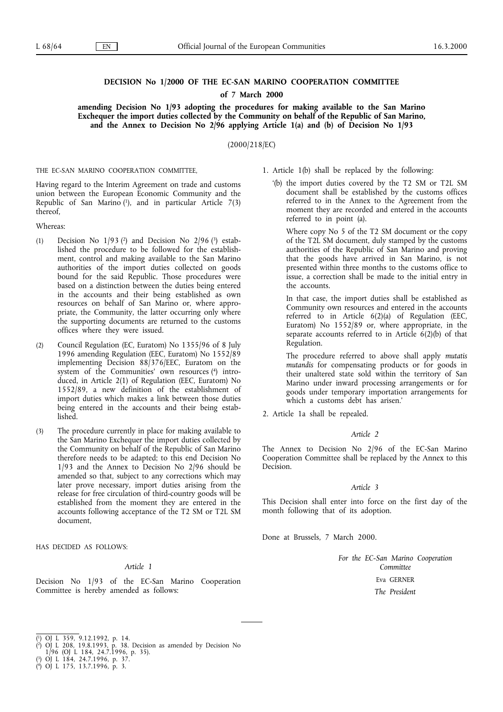# **DECISION No 1/2000 OF THE EC-SAN MARINO COOPERATION COMMITTEE**

**of 7 March 2000**

amending Decision No 1/93 adopting the procedures for making available to the San Marino **Exchequer the import duties collected by the Community on behalf of the Republic of San Marino, and the Annex to Decision No 2/96 applyingArticle 1(a) and (b) of Decision No 1/93**

(2000/218/EC)

THE EC-SAN MARINO COOPERATION COMMITTEE,

Having regard to the Interim Agreement on trade and customs union between the European Economic Community and the Republic of San Marino  $(1)$ , and in particular Article 7(3) thereof,

Whereas:

- (1) Decision No  $1/93$  (2) and Decision No  $2/96$  (3) established the procedure to be followed for the establishment, control and making available to the San Marino authorities of the import duties collected on goods bound for the said Republic. Those procedures were based on a distinction between the duties being entered in the accounts and their being established as own resources on behalf of San Marino or, where appropriate, the Community, the latter occurring only where the supporting documents are returned to the customs offices where they were issued.
- (2) Council Regulation (EC, Euratom) No 1355/96 of 8 July 1996 amending Regulation (EEC, Euratom) No 1552/89 implementing Decision 88/376/EEC, Euratom on the system of the Communities' own resources  $(4)$  introduced, in Article  $2(1)$  of Regulation (EEC, Euratom) No 1552/89, a new definition of the establishment of import duties which makes a link between those duties being entered in the accounts and their being established.
- (3) The procedure currently in place for making available to the San Marino Exchequer the import duties collected by the Community on behalf of the Republic of San Marino therefore needs to be adapted; to this end Decision No 1/93 and the Annex to Decision No 2/96 should be amended so that, subject to any corrections which may later prove necessary, import duties arising from the release for free circulation of third-country goods will be established from the moment they are entered in the accounts following acceptance of the T2 SM or T2L SM document,

HAS DECIDED AS FOLLOWS:

### *Article 1*

Decision No 1/93 of the EC-San Marino Cooperation Committee is hereby amended as follows:

'(b) the import duties covered by the T2 SM or T2L SM document shall be established by the customs offices referred to in the Annex to the Agreement from the moment they are recorded and entered in the accounts referred to in point (a).

Where copy No 5 of the T2 SM document or the copy of the T2L SM document, duly stamped by the customs authorities of the Republic of San Marino and proving that the goods have arrived in San Marino, is not presented within three months to the customs office to issue, a correction shall be made to the initial entry in the accounts.

In that case, the import duties shall be established as Community own resources and entered in the accounts referred to in Article 6(2)(a) of Regulation (EEC, Euratom) No 1552/89 or, where appropriate, in the separate accounts referred to in Article 6(2)(b) of that Regulation.

The procedure referred to above shall apply *mutatis mutandis* for compensating products or for goods in their unaltered state sold within the territory of San Marino under inward processing arrangements or for goods under temporary importation arrangements for which a customs debt has arisen.'

2. Article 1a shall be repealed.

## *Article 2*

The Annex to Decision No 2/96 of the EC-San Marino Cooperation Committee shall be replaced by the Annex to this Decision.

## *Article 3*

This Decision shall enter into force on the first day of the month following that of its adoption.

Done at Brussels, 7 March 2000.

*For the EC-San Marino Cooperation Committee* Eva GERNER

*The President*

<sup>1.</sup> Article  $1(b)$  shall be replaced by the following:

<sup>(</sup> 1)OJ L 359, 9.12.1992, p. 14.

<sup>(</sup> 2)OJ L 208, 19.8.1993, p. 38. Decision as amended by Decision No

<sup>1/96 (</sup>OJ L 184, 24.7.1996, p. 35).

<sup>(</sup> 3)OJ L 184, 24.7.1996, p. 37.

<sup>(</sup> 4)OJ L 175, 13.7.1996, p. 3.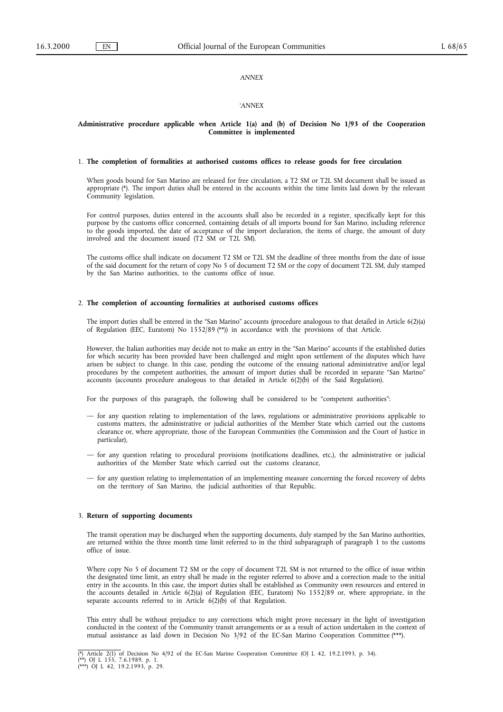# *ANNEX*

# *'ANNEX*

## **Administrative procedure applicable when Article 1(a) and (b) of Decision No 1/93 of the Cooperation Committee is implemented**

## 1. **The completion of formalities at authorised customs offices to release goods for free circulation**

When goods bound for San Marino are released for free circulation, a T2 SM or T2L SM document shall be issued as appropriate (\*). The import duties shall be entered in the accounts within the time limits laid down by the relevant Community legislation.

For control purposes, duties entered in the accounts shall also be recorded in a register, specifically kept for this purpose by the customs office concerned, containing details of all imports bound for San Marino, including reference to the goods imported, the date of acceptance of the import declaration, the items of charge, the amount of duty involved and the document issued (T2 SM or T2L SM).

The customs office shall indicate on document T2 SM or T2L SM the deadline of three months from the date of issue of the said document for the return of copy No 5 of document T2 SM or the copy of document T2L SM, duly stamped by the San Marino authorities, to the customs office of issue.

### 2. The completion of accounting formalities at authorised customs offices

The import duties shall be entered in the "San Marino" accounts (procedure analogous to that detailed in Article 6(2)(a) of Regulation (EEC, Euratom) No 1552/89 (\*\*)) in accordance with the provisions of that Article.

However, the Italian authorities may decide not to make an entry in the "San Marino" accounts if the established duties for which security has been provided have been challenged and might upon settlement of the disputes which have arisen be subject to change. In this case, pending the outcome of the ensuing national administrative and/or legal procedures by the competent authorities, the amount of import duties shall be recorded in separate "San Marino" accounts (accounts procedure analogous to that detailed in Article 6(2)(b) of the Said Regulation).

For the purposes of this paragraph, the following shall be considered to be "competent authorities":

- for any question relating to implementation of the laws, regulations or administrative provisions applicable to customs matters, the administrative or judicial authorities of the Member State which carried out the customs clearance or, where appropriate, those of the European Communities (the Commission and the Court of Justice in particular),
- for any question relating to procedural provisions (notifications deadlines, etc.), the administrative or judicial authorities of the Member State which carried out the customs clearance,
- for any question relating to implementation of an implementing measure concerning the forced recovery of debts on the territory of San Marino, the judicial authorities of that Republic.

### 3. Return of supporting documents

The transit operation may be discharged when the supporting documents, duly stamped by the San Marino authorities, are returned within the three month time limit referred to in the third subparagraph of paragraph 1 to the customs office of issue.

Where copy No 5 of document T2 SM or the copy of document T2L SM is not returned to the office of issue within the designated time limit, an entry shall be made in the register referred to above and a correction made to the initial entry in the accounts. In this case, the import duties shall be established as Community own resources and entered in the accounts detailed in Article 6(2)(a) of Regulation (EEC, Euratom) No 1552/89 or, where appropriate, in the separate accounts referred to in Article  $6(2)(b)$  of that Regulation.

This entry shall be without prejudice to any corrections which might prove necessary in the light of investigation conducted in the context of the Community transit arrangements or as a result of action undertaken in the context of mutual assistance as laid down in Decision No 3/92 of the EC-San Marino Cooperation Committee (\*\*\*).

<sup>(\*)</sup> Article 2(1) of Decision No 4/92 of the EC-San Marino Cooperation Committee (OJ L 42, 19.2.1993, p. 34).<br>(\*\*) OJ L 155, 7.6.1989, p. 1.<br>(\*\*\*) OJ L 42, 19.2.1993, p. 29.